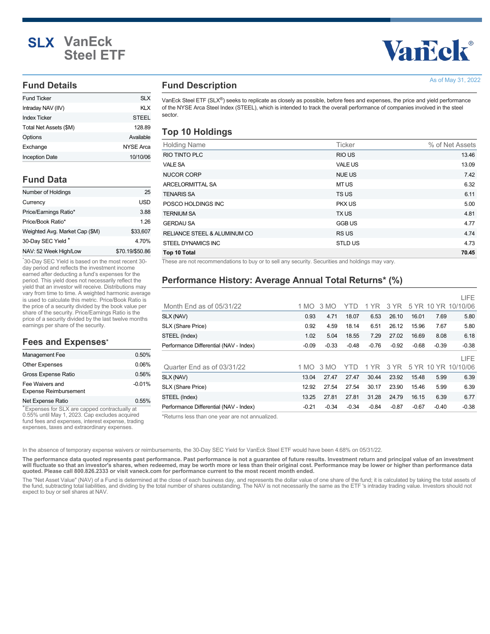# **SLX VanEck Steel ETF**

# **Vancok®**

As of May 31, 2022

#### **Fund Details**

| <b>Fund Ticker</b>     | SI X      |
|------------------------|-----------|
| Intraday NAV (IIV)     | KI X      |
| <b>Index Ticker</b>    | STEEL     |
| Total Net Assets (\$M) | 128.89    |
| Options                | Available |
| Exchange               | NYSE Arca |
| <b>Inception Date</b>  | 10/10/06  |

# **Fund Data**

| Number of Holdings             | 25              |
|--------------------------------|-----------------|
| Currency                       | USD             |
| Price/Earnings Ratio*          | 3.88            |
| Price/Book Ratio*              | 1 26            |
| Weighted Avg. Market Cap (\$M) | \$33,607        |
| 30-Day SEC Yield*              | 4.70%           |
| NAV: 52 Week High/Low          | \$70.19/\$50.86 |

30-Day SEC Yield is based on the most recent 30- \* day period and reflects the investment income earned after deducting a fund's expenses for the period. This yield does not necessarily reflect the yield that an investor will receive. Distributions may vary from time to time. A weighted harmonic average is used to calculate this metric. Price/Book Ratio is the price of a security divided by the book value per share of the security. Price/Earnings Ratio is the price of a security divided by the last twelve months earnings per share of the security.

#### **Fees and Expenses \***

| Management Fee                                  | 0.50%    |
|-------------------------------------------------|----------|
| <b>Other Expenses</b>                           | 0.06%    |
| Gross Expense Ratio                             | 0.56%    |
| Fee Waivers and<br><b>Expense Reimbursement</b> | $-0.01%$ |
| Net Expense Ratio                               | 0.55%    |

Expenses for SLX are capped contractually at \* 0.55% until May 1, 2023. Cap excludes acquired fund fees and expenses, interest expense, trading expenses, taxes and extraordinary expenses.

## **Fund Description**

VanEck Steel ETF (SLX®) seeks to replicate as closely as possible, before fees and expenses, the price and yield performance of the NYSE Arca Steel Index (STEEL), which is intended to track the overall performance of companies involved in the steel sector.

#### **Top 10 Holdings**

| <b>Holding Name</b>          | <b>Ticker</b>  | % of Net Assets |
|------------------------------|----------------|-----------------|
| RIO TINTO PLC                | <b>RIO US</b>  | 13.46           |
| <b>VALE SA</b>               | <b>VALE US</b> | 13.09           |
| <b>NUCOR CORP</b>            | <b>NUE US</b>  | 7.42            |
| <b>ARCELORMITTAL SA</b>      | MT US          | 6.32            |
| <b>TENARIS SA</b>            | TS US          | 6.11            |
| POSCO HOLDINGS INC           | <b>PKX US</b>  | 5.00            |
| <b>TERNIUM SA</b>            | <b>TXUS</b>    | 4.81            |
| <b>GERDAU SA</b>             | <b>GGB US</b>  | 4.77            |
| RELIANCE STEEL & ALUMINUM CO | <b>RSUS</b>    | 4.74            |
| STEEL DYNAMICS INC           | <b>STLD US</b> | 4.73            |
| Top 10 Total                 |                | 70.45           |

These are not recommendations to buy or to sell any security. Securities and holdings may vary.

# **Performance History: Average Annual Total Returns\* (%)**

|                                        |         |         |         |         |         |         |         | LIFE                |
|----------------------------------------|---------|---------|---------|---------|---------|---------|---------|---------------------|
| Month End as of $05/31/22$             | 1 MO    | 3 MO    | YTD.    | 1 YR    | 3 YR    |         |         | 5 YR 10 YR 10/10/06 |
| SLX (NAV)                              | 0.93    | 4.71    | 18.07   | 6.53    | 26.10   | 16.01   | 7.69    | 5.80                |
| SLX (Share Price)                      | 0.92    | 4.59    | 18.14   | 6.51    | 26.12   | 15.96   | 7.67    | 5.80                |
| STEEL (Index)                          | 1.02    | 5.04    | 18.55   | 7.29    | 27.02   | 16.69   | 8.08    | 6.18                |
| Performance Differential (NAV - Index) | $-0.09$ | $-0.33$ | $-0.48$ | $-0.76$ | $-0.92$ | $-0.68$ | $-0.39$ | $-0.38$             |
|                                        |         |         |         |         |         |         |         | LIFE                |
| Quarter End as of 03/31/22             | 1 MO    | 3 MO    | YTD.    | 1 YR    | 3 YR    |         |         | 5 YR 10 YR 10/10/06 |
| SLX (NAV)                              | 13.04   | 27.47   | 27.47   | 30.44   | 23.92   | 15.48   | 5.99    | 6.39                |
| SLX (Share Price)                      | 12.92   | 27.54   | 27.54   | 30.17   | 23.90   | 15.46   | 5.99    | 6.39                |
| STEEL (Index)                          | 13.25   | 27.81   | 27.81   | 31.28   | 24.79   | 16.15   | 6.39    | 6.77                |
| Performance Differential (NAV - Index) | $-0.21$ | $-0.34$ | $-0.34$ | $-0.84$ | $-0.87$ | $-0.67$ | $-0.40$ | $-0.38$             |

\*Returns less than one year are not annualized.

In the absence of temporary expense waivers or reimbursements, the 30-Day SEC Yield for VanEck Steel ETF would have been 4.68% on 05/31/22.

**The performance data quoted represents past performance. Past performance is not a guarantee of future results. Investment return and principal value of an investment will fluctuate so that an investor's shares, when redeemed, may be worth more or less than their original cost. Performance may be lower or higher than performance data quoted. Please call 800.826.2333 or visit vaneck.com for performance current to the most recent month ended.**

The "Net Asset Value" (NAV) of a Fund is determined at the close of each business day, and represents the dollar value of one share of the fund; it is calculated by taking the total assets of the fund, subtracting total liabilities, and dividing by the total number of shares outstanding. The NAV is not necessarily the same as the ETF 's intraday trading value. Investors should not expect to buy or sell shares at NAV.